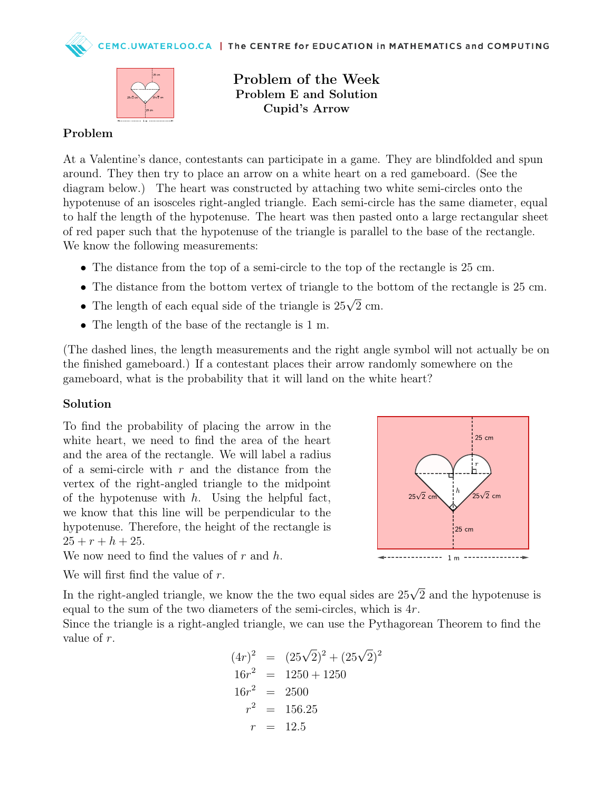C.UWATERLOO.CA | The CENTRE for EDUCATION in MATHEMATICS and COMPUTING



Problem of the Week Problem E and Solution Cupid's Arrow

## Problem

At a Valentine's dance, contestants can participate in a game. They are blindfolded and spun around. They then try to place an arrow on a white heart on a red gameboard. (See the diagram below.) The heart was constructed by attaching two white semi-circles onto the hypotenuse of an isosceles right-angled triangle. Each semi-circle has the same diameter, equal to half the length of the hypotenuse. The heart was then pasted onto a large rectangular sheet of red paper such that the hypotenuse of the triangle is parallel to the base of the rectangle. We know the following measurements:

- The distance from the top of a semi-circle to the top of the rectangle is 25 cm.
- The distance from the bottom vertex of triangle to the bottom of the rectangle is 25 cm.
- The length of each equal side of the triangle is  $25\sqrt{2}$  cm.
- The length of the base of the rectangle is 1 m.

(The dashed lines, the length measurements and the right angle symbol will not actually be on the finished gameboard.) If a contestant places their arrow randomly somewhere on the gameboard, what is the probability that it will land on the white heart?

## Solution

To find the probability of placing the arrow in the white heart, we need to find the area of the heart and the area of the rectangle. We will label a radius of a semi-circle with  $r$  and the distance from the vertex of the right-angled triangle to the midpoint of the hypotenuse with  $h$ . Using the helpful fact, we know that this line will be perpendicular to the hypotenuse. Therefore, the height of the rectangle is  $25 + r + h + 25.$ We now need to find the values of  $r$  and  $h$ .



We will first find the value of r.

In the right-angled triangle, we know the the two equal sides are 25 $\sqrt{2}$  and the hypotenuse is equal to the sum of the two diameters of the semi-circles, which is  $4r$ .

Since the triangle is a right-angled triangle, we can use the Pythagorean Theorem to find the value of r.

$$
(4r)^2 = (25\sqrt{2})^2 + (25\sqrt{2})^2
$$
  
\n
$$
16r^2 = 1250 + 1250
$$
  
\n
$$
16r^2 = 2500
$$
  
\n
$$
r^2 = 156.25
$$
  
\n
$$
r = 12.5
$$